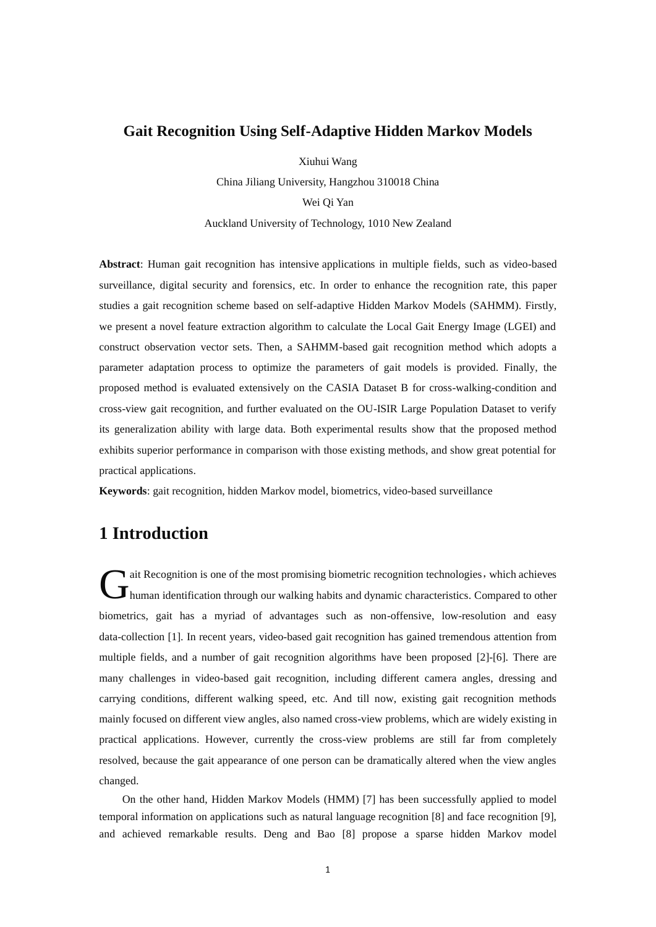### **Gait Recognition Using Self-Adaptive Hidden Markov Models**

Xiuhui Wang

China Jiliang University, Hangzhou 310018 China Wei Qi Yan

Auckland University of Technology, 1010 New Zealand

**Abstract**: Human gait recognition has intensive applications in multiple fields, such as video-based surveillance, digital security and forensics, etc. In order to enhance the recognition rate, this paper studies a gait recognition scheme based on self-adaptive Hidden Markov Models (SAHMM). Firstly, we present a novel feature extraction algorithm to calculate the Local Gait Energy Image (LGEI) and construct observation vector sets. Then, a SAHMM-based gait recognition method which adopts a parameter adaptation process to optimize the parameters of gait models is provided. Finally, the proposed method is evaluated extensively on the CASIA Dataset B for cross-walking-condition and cross-view gait recognition, and further evaluated on the OU-ISIR Large Population Dataset to verify its generalization ability with large data. Both experimental results show that the proposed method exhibits superior performance in comparison with those existing methods, and show great potential for practical applications.

**Keywords**: gait recognition, hidden Markov model, biometrics, video-based surveillance

# **1 Introduction**

If ait Recognition is one of the most promising biometric recognition technologies, which achieves it Recognition is one of the most promising biometric recognition technologies, which achieves<br>
human identification through our walking habits and dynamic characteristics. Compared to other biometrics, gait has a myriad of advantages such as non-offensive, low-resolution and easy data-collection [1]. In recent years, video-based gait recognition has gained tremendous attention from multiple fields, and a number of gait recognition algorithms have been proposed [2]-[6]. There are many challenges in video-based gait recognition, including different camera angles, dressing and carrying conditions, different walking speed, etc. And till now, existing gait recognition methods mainly focused on different view angles, also named cross-view problems, which are widely existing in practical applications. However, currently the cross-view problems are still far from completely resolved, because the gait appearance of one person can be dramatically altered when the view angles changed.

On the other hand, Hidden Markov Models (HMM) [7] has been successfully applied to model temporal information on applications such as natural language recognition [8] and face recognition [9], and achieved remarkable results. Deng and Bao [8] propose a sparse hidden Markov model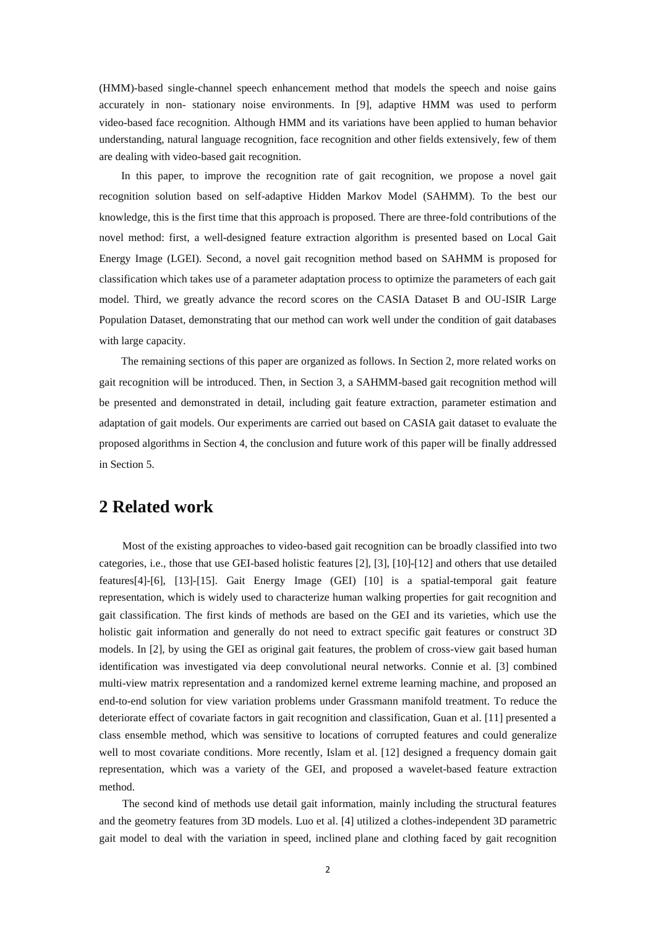(HMM)-based single-channel speech enhancement method that models the speech and noise gains accurately in non- stationary noise environments. In [9], adaptive HMM was used to perform video-based face recognition. Although HMM and its variations have been applied to human behavior understanding, natural language recognition, face recognition and other fields extensively, few of them are dealing with video-based gait recognition.

In this paper, to improve the recognition rate of gait recognition, we propose a novel gait recognition solution based on self-adaptive Hidden Markov Model (SAHMM). To the best our knowledge, this is the first time that this approach is proposed. There are three-fold contributions of the novel method: first, a well-designed feature extraction algorithm is presented based on Local Gait Energy Image (LGEI). Second, a novel gait recognition method based on SAHMM is proposed for classification which takes use of a parameter adaptation process to optimize the parameters of each gait model. Third, we greatly advance the record scores on the CASIA Dataset B and OU-ISIR Large Population Dataset, demonstrating that our method can work well under the condition of gait databases with large capacity.

The remaining sections of this paper are organized as follows. In Section 2, more related works on gait recognition will be introduced. Then, in Section 3, a SAHMM-based gait recognition method will be presented and demonstrated in detail, including gait feature extraction, parameter estimation and adaptation of gait models. Our experiments are carried out based on CASIA gait dataset to evaluate the proposed algorithms in Section 4, the conclusion and future work of this paper will be finally addressed in Section 5.

## **2 Related work**

Most of the existing approaches to video-based gait recognition can be broadly classified into two categories, i.e., those that use GEI-based holistic features [2], [3], [10]-[12] and others that use detailed features[4]-[6], [13]-[15]. Gait Energy Image (GEI) [10] is a spatial-temporal gait feature representation, which is widely used to characterize human walking properties for gait recognition and gait classification. The first kinds of methods are based on the GEI and its varieties, which use the holistic gait information and generally do not need to extract specific gait features or construct 3D models. In [2], by using the GEI as original gait features, the problem of cross-view gait based human identification was investigated via deep convolutional neural networks. Connie et al. [3] combined multi-view matrix representation and a randomized kernel extreme learning machine, and proposed an end-to-end solution for view variation problems under Grassmann manifold treatment. To reduce the deteriorate effect of covariate factors in gait recognition and classification, Guan et al. [11] presented a class ensemble method, which was sensitive to locations of corrupted features and could generalize well to most covariate conditions. More recently, Islam et al. [12] designed a frequency domain gait representation, which was a variety of the GEI, and proposed a wavelet-based feature extraction method.

The second kind of methods use detail gait information, mainly including the structural features and the geometry features from 3D models. Luo et al. [4] utilized a clothes-independent 3D parametric gait model to deal with the variation in speed, inclined plane and clothing faced by gait recognition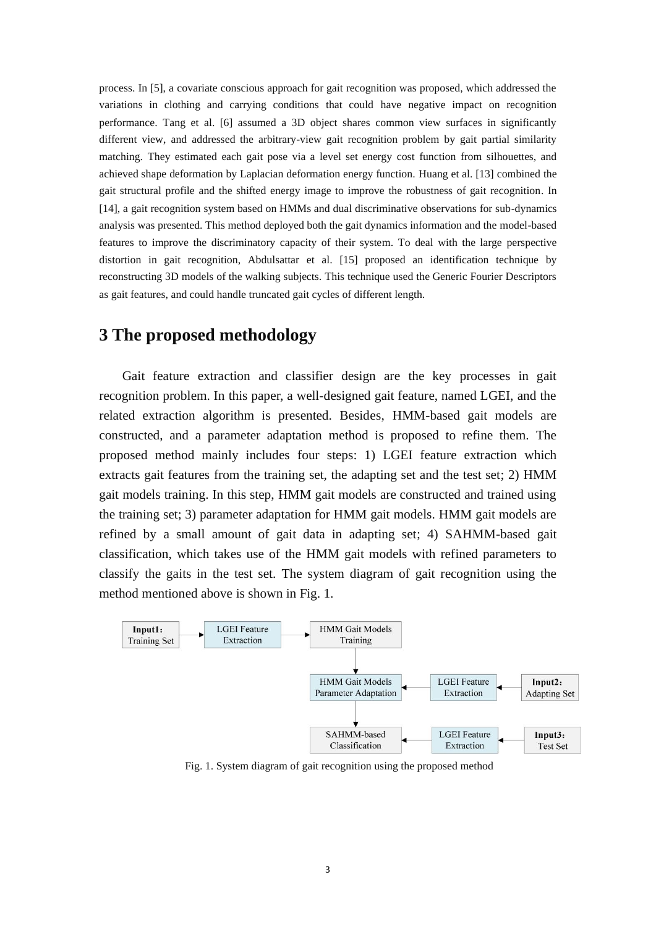process. In [5], a covariate conscious approach for gait recognition was proposed, which addressed the variations in clothing and carrying conditions that could have negative impact on recognition performance. Tang et al. [6] assumed a 3D object shares common view surfaces in significantly different view, and addressed the arbitrary-view gait recognition problem by gait partial similarity matching. They estimated each gait pose via a level set energy cost function from silhouettes, and achieved shape deformation by Laplacian deformation energy function. Huang et al. [13] combined the gait structural profile and the shifted energy image to improve the robustness of gait recognition. In [14], a gait recognition system based on HMMs and dual discriminative observations for sub-dynamics analysis was presented. This method deployed both the gait dynamics information and the model-based features to improve the discriminatory capacity of their system. To deal with the large perspective distortion in gait recognition, Abdulsattar et al. [15] proposed an identification technique by reconstructing 3D models of the walking subjects. This technique used the Generic Fourier Descriptors as gait features, and could handle truncated gait cycles of different length.

# **3 The proposed methodology**

Gait feature extraction and classifier design are the key processes in gait recognition problem. In this paper, a well-designed gait feature, named LGEI, and the related extraction algorithm is presented. Besides, HMM-based gait models are constructed, and a parameter adaptation method is proposed to refine them. The proposed method mainly includes four steps: 1) LGEI feature extraction which extracts gait features from the training set, the adapting set and the test set; 2) HMM gait models training. In this step, HMM gait models are constructed and trained using the training set; 3) parameter adaptation for HMM gait models. HMM gait models are refined by a small amount of gait data in adapting set; 4) SAHMM-based gait classification, which takes use of the HMM gait models with refined parameters to classify the gaits in the test set. The system diagram of gait recognition using the method mentioned above is shown in Fig. 1.



Fig. 1. System diagram of gait recognition using the proposed method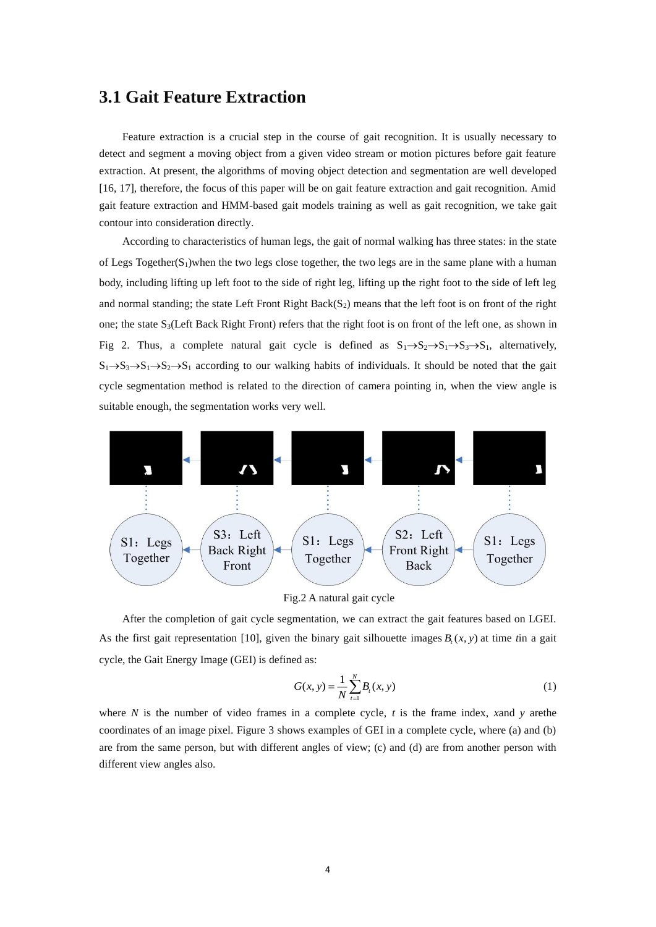### **3.1 Gait Feature Extraction**

Feature extraction is a crucial step in the course of gait recognition. It is usually necessary to detect and segment a moving object from a given video stream or motion pictures before gait feature extraction. At present, the algorithms of moving object detection and segmentation are well developed [16, 17], therefore, the focus of this paper will be on gait feature extraction and gait recognition. Amid gait feature extraction and HMM-based gait models training as well as gait recognition, we take gait contour into consideration directly.

According to characteristics of human legs, the gait of normal walking has three states: in the state of Legs Together( $S_1$ )when the two legs close together, the two legs are in the same plane with a human body, including lifting up left foot to the side of right leg, lifting up the right foot to the side of left leg and normal standing; the state Left Front Right Back $(S_2)$  means that the left foot is on front of the right one; the state S<sub>3</sub>(Left Back Right Front) refers that the right foot is on front of the left one, as shown in Fig 2. Thus, a complete natural gait cycle is defined as  $S_1 \rightarrow S_2 \rightarrow S_1 \rightarrow S_3 \rightarrow S_1$ , alternatively,  $S_1 \rightarrow S_3 \rightarrow S_1 \rightarrow S_2 \rightarrow S_1$  according to our walking habits of individuals. It should be noted that the gait cycle segmentation method is related to the direction of camera pointing in, when the view angle is suitable enough, the segmentation works very well.



Fig.2 A natural gait cycle

After the completion of gait cycle segmentation, we can extract the gait features based on LGEI. As the first gait representation [10], given the binary gait silhouette images  $B_t(x, y)$  at time *t*in a gait cycle, the Gait Energy Image (GEI) is defined as:

$$
G(x, y) = \frac{1}{N} \sum_{t=1}^{N} B_t(x, y)
$$
 (1)

where *N* is the number of video frames in a complete cycle, *t* is the frame index, *x*and *y* arethe coordinates of an image pixel. Figure 3 shows examples of GEI in a complete cycle, where (a) and (b) are from the same person, but with different angles of view; (c) and (d) are from another person with different view angles also.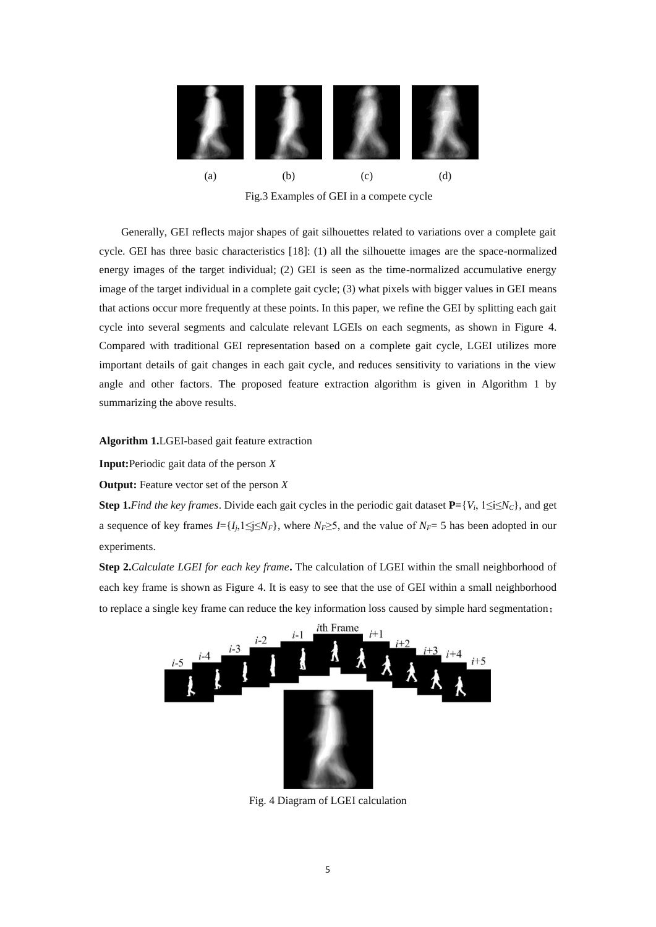

Fig.3 Examples of GEI in a compete cycle

Generally, GEI reflects major shapes of gait silhouettes related to variations over a complete gait cycle. GEI has three basic characteristics [18]: (1) all the silhouette images are the space-normalized energy images of the target individual; (2) GEI is seen as the time-normalized accumulative energy image of the target individual in a complete gait cycle; (3) what pixels with bigger values in GEI means that actions occur more frequently at these points. In this paper, we refine the GEI by splitting each gait cycle into several segments and calculate relevant LGEIs on each segments, as shown in Figure 4. Compared with traditional GEI representation based on a complete gait cycle, LGEI utilizes more important details of gait changes in each gait cycle, and reduces sensitivity to variations in the view angle and other factors. The proposed feature extraction algorithm is given in Algorithm 1 by summarizing the above results.

**Algorithm 1.**LGEI-based gait feature extraction

**Input:**Periodic gait data of the person *X*

**Output:** Feature vector set of the person *X*

**Step 1.***Find the key frames.* Divide each gait cycles in the periodic gait dataset  $P = \{V_i, 1 \le i \le N_C\}$ , and get a sequence of key frames  $I = \{I_i, 1 \le i \le N_F\}$ , where  $N_F \ge 5$ , and the value of  $N_F = 5$  has been adopted in our experiments.

**Step 2.***Calculate LGEI for each key frame*. The calculation of LGEI within the small neighborhood of each key frame is shown as Figure 4. It is easy to see that the use of GEI within a small neighborhood to replace a single key frame can reduce the key information loss caused by simple hard segmentation;



Fig. 4 Diagram of LGEI calculation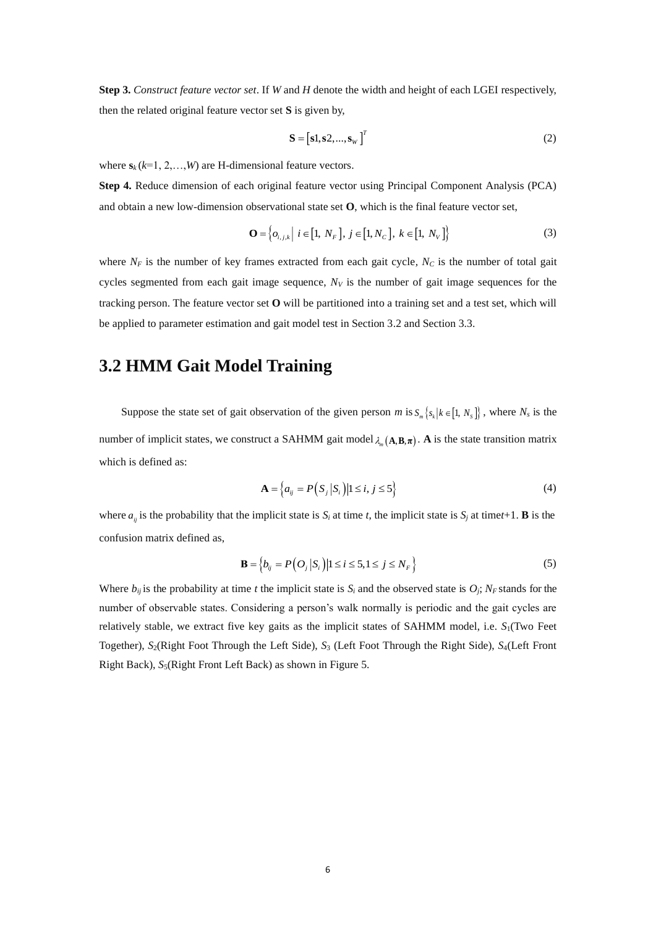**Step 3.** *Construct feature vector set*. If *W* and *H* denote the width and height of each LGEI respectively, then the related original feature vector set **S** is given by,

$$
\mathbf{S} = \begin{bmatrix} \mathbf{s}1, \mathbf{s}2, ..., \mathbf{s}_{w} \end{bmatrix}^{T}
$$
 (2)

where  $\mathbf{s}_k$  ( $k=1, 2, \ldots, W$ ) are H-dimensional feature vectors.

**Step 4.** Reduce dimension of each original feature vector using Principal Component Analysis (PCA) and obtain a new low-dimension observational state set **O**, which is the final feature vector set,

$$
\mathbf{O} = \left\{ o_{i,j,k} \middle| i \in [1, N_F], j \in [1, N_C], k \in [1, N_V] \right\}
$$
 (3)

where  $N_F$  is the number of key frames extracted from each gait cycle,  $N_C$  is the number of total gait cycles segmented from each gait image sequence, *N<sup>V</sup>* is the number of gait image sequences for the tracking person. The feature vector set **O** will be partitioned into a training set and a test set, which will be applied to parameter estimation and gait model test in Section 3.2 and Section 3.3.

# **3.2 HMM Gait Model Training**

Suppose the state set of gait observation of the given person *m* is  $S_m \{ s_k | k \in [1, N_s] \}$ , where  $N_s$  is the number of implicit states, we construct a SAHMM gait model  $\lambda_m(A, B, \pi)$ . A is the state transition matrix which is defined as:

$$
\mathbf{A} = \left\{ a_{ij} = P\left( S_j \middle| S_i \right) \middle| 1 \le i, j \le 5 \right\} \tag{4}
$$

where  $a_{ij}$  is the probability that the implicit state is  $S_i$  at time *t*, the implicit state is  $S_j$  at time*t*+1. **B** is the confusion matrix defined as,

$$
\mathbf{B} = \left\{ b_{ij} = P\left( O_j \left| S_i \right. \right) \middle| 1 \le i \le 5, 1 \le j \le N_F \right\} \tag{5}
$$

Where  $b_{ij}$  is the probability at time *t* the implicit state is  $S_i$  and the observed state is  $O_j$ ;  $N_F$  stands for the number of observable states. Considering a person's walk normally is periodic and the gait cycles are relatively stable, we extract five key gaits as the implicit states of SAHMM model, i.e. *S*1(Two Feet Together), *S*2(Right Foot Through the Left Side), *S*<sup>3</sup> (Left Foot Through the Right Side), *S*4(Left Front Right Back), *S*5(Right Front Left Back) as shown in Figure 5.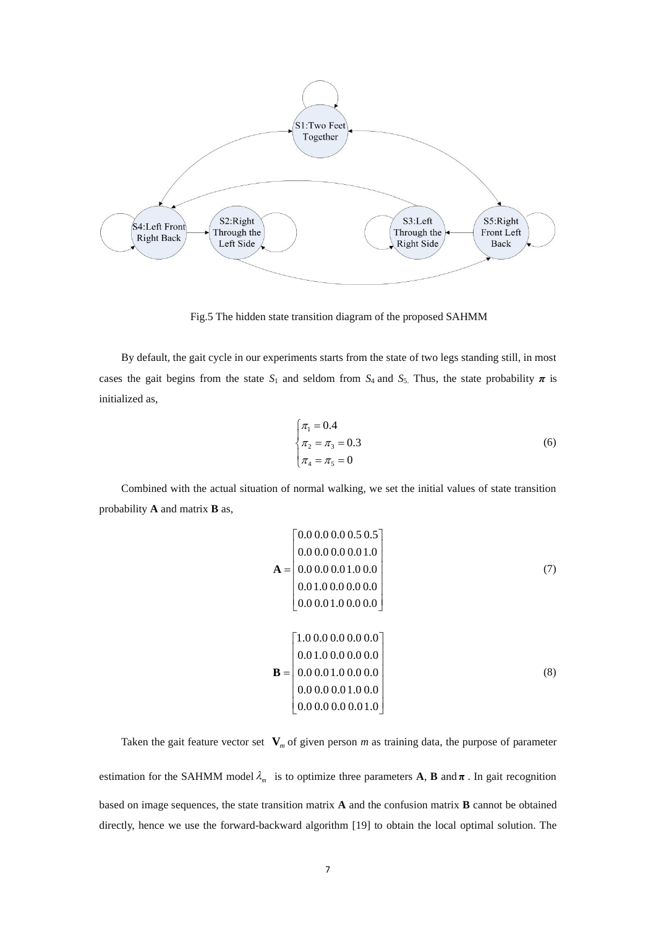

Fig.5 The hidden state transition diagram of the proposed SAHMM

By default, the gait cycle in our experiments starts from the state of two legs standing still, in most cases the gait begins from the state  $S_1$  and seldom from  $S_4$  and  $S_5$ . Thus, the state probability  $\pi$  is initialized as,

$$
\begin{cases}\n\pi_1 = 0.4\\ \n\pi_2 = \pi_3 = 0.3\\ \n\pi_4 = \pi_5 = 0\n\end{cases}
$$
\n(6)

Combined with the actual situation of normal walking, we set the initial values of state transition probability **A** and matrix **B** as,

$$
\mathbf{A} = \begin{bmatrix} 0.0 & 0.0 & 0.0 & 0.5 & 0.5 \\ 0.0 & 0.0 & 0.0 & 0.0 & 1.0 \\ 0.0 & 0.0 & 0.0 & 1.0 & 0.0 \\ 0.0 & 1.0 & 0.0 & 0.0 & 0.0 \\ 0.0 & 0.0 & 1.0 & 0.0 & 0.0 \end{bmatrix}
$$
(7)  
[1.0 0.0 0.0 0.0 0.0 0.0]

$$
\mathbf{B} = \begin{bmatrix} 1.0 & 0.0 & 0.0 & 0.0 & 0.0 \\ 0.0 & 1.0 & 0.0 & 0.0 & 0.0 \\ 0.0 & 0.0 & 1.0 & 0.0 & 0.0 \\ 0.0 & 0.0 & 0.0 & 1.0 & 0.0 \\ 0.0 & 0.0 & 0.0 & 0.0 & 1.0 \end{bmatrix}
$$
 (8)

Taken the gait feature vector set  $V_m$  of given person *m* as training data, the purpose of parameter

estimation for the SAHMM model  $\lambda_m$  is to optimize three parameters **A**, **B** and  $\pi$ . In gait recognition based on image sequences, the state transition matrix **A** and the confusion matrix **B** cannot be obtained directly, hence we use the forward-backward algorithm [19] to obtain the local optimal solution. The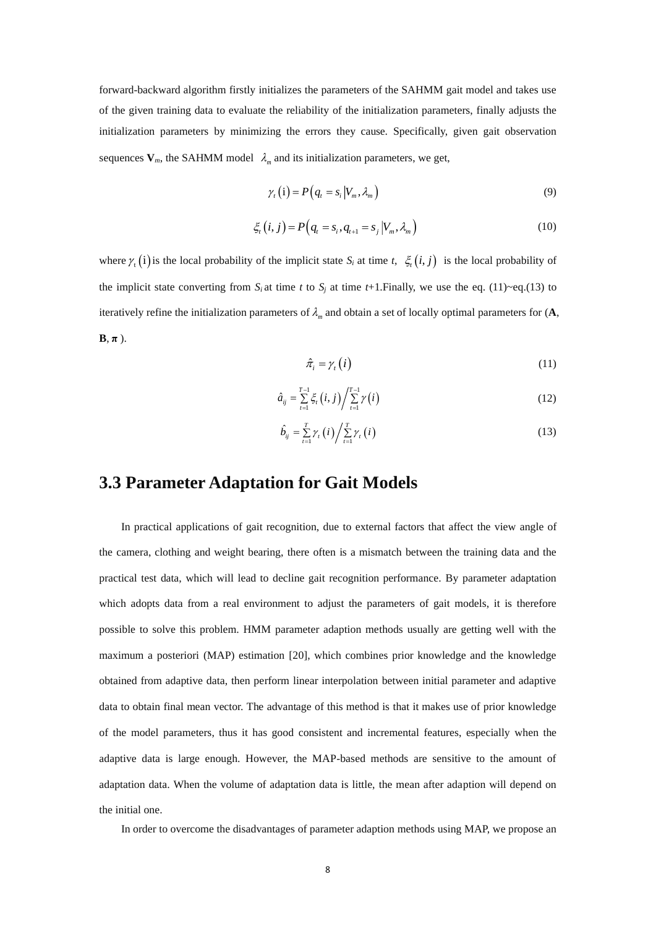forward-backward algorithm firstly initializes the parameters of the SAHMM gait model and takes use of the given training data to evaluate the reliability of the initialization parameters, finally adjusts the initialization parameters by minimizing the errors they cause. Specifically, given gait observation sequences  $V_m$ , the SAHMM model  $\lambda_m$  and its initialization parameters, we get,

$$
\gamma_{t}(i) = P(q_{t} = s_{i} | V_{m}, \lambda_{m})
$$
\n(9)

$$
\xi_t(i,j) = P\big(q_t = s_i, q_{t+1} = s_j \big| V_m, \lambda_m\big) \tag{10}
$$

where  $\gamma_i(i)$  is the local probability of the implicit state  $S_i$  at time  $t$ ,  $\xi_i(i, j)$  is the local probability of the implicit state converting from  $S_i$  at time *t* to  $S_j$  at time *t*+1.Finally, we use the eq. (11)~eq.(13) to iteratively refine the initialization parameters of  $\lambda_m$  and obtain a set of locally optimal parameters for  $(A, \lambda_m)$  $\mathbf{B}, \pi$ ).

$$
\hat{\pi}_i = \gamma_i(i) \tag{11}
$$

$$
\hat{a}_{ij} = \sum_{t=1}^{T-1} \xi_t(i,j) / \sum_{t=1}^{T-1} \gamma(i)
$$
\n(12)

$$
\hat{b}_{ij} = \sum_{t=1}^{T} \gamma_t(i) / \sum_{t=1}^{T} \gamma_t(i)
$$
\n(13)

# **3.3 Parameter Adaptation for Gait Models**

In practical applications of gait recognition, due to external factors that affect the view angle of the camera, clothing and weight bearing, there often is a mismatch between the training data and the practical test data, which will lead to decline gait recognition performance. By parameter adaptation which adopts data from a real environment to adjust the parameters of gait models, it is therefore possible to solve this problem. HMM parameter adaption methods usually are getting well with the maximum a posteriori (MAP) estimation [20], which combines prior knowledge and the knowledge obtained from adaptive data, then perform linear interpolation between initial parameter and adaptive data to obtain final mean vector. The advantage of this method is that it makes use of prior knowledge of the model parameters, thus it has good consistent and incremental features, especially when the adaptive data is large enough. However, the MAP-based methods are sensitive to the amount of adaptation data. When the volume of adaptation data is little, the mean after adaption will depend on the initial one.

In order to overcome the disadvantages of parameter adaption methods using MAP, we propose an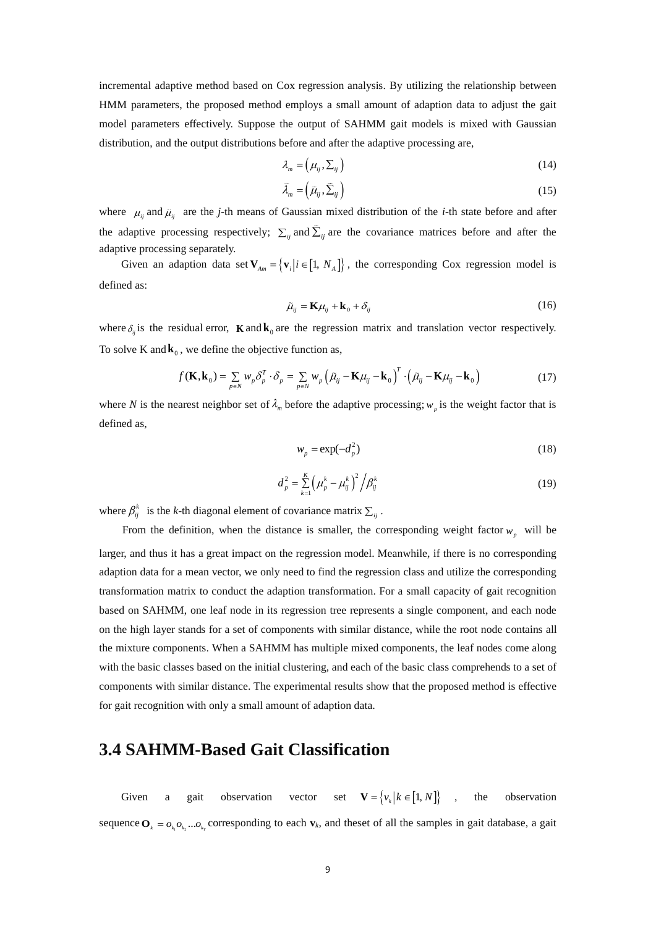incremental adaptive method based on Cox regression analysis. By utilizing the relationship between HMM parameters, the proposed method employs a small amount of adaption data to adjust the gait model parameters effectively. Suppose the output of SAHMM gait models is mixed with Gaussian distribution, and the output distributions before and after the adaptive processing are,

$$
\lambda_m = \left(\mu_{ij}, \Sigma_{ij}\right) \tag{14}
$$

$$
\tilde{\lambda}_m = \left(\tilde{\mu}_{ij}, \tilde{\Sigma}_{ij}\right) \tag{15}
$$

where  $\mu_{ij}$  and  $\tilde{\mu}_{ij}$  are the *j*-th means of Gaussian mixed distribution of the *i*-th state before and after the adaptive processing respectively;  $\sum_{ij}$  and  $\sum_{ij}$  are the covariance matrices before and after the adaptive processing separately.

Given an adaption data set  $V_{Am} = \{v_i | i \in [1, N_A]\}$ , the corresponding Cox regression model is defined as:

$$
\tilde{\mu}_{ij} = \mathbf{K}\mu_{ij} + \mathbf{k}_0 + \delta_{ij} \tag{16}
$$

where  $\delta_{ij}$  is the residual error, **K** and **k**<sub>0</sub> are the regression matrix and translation vector respectively. To solve K and  $\mathbf{k}_0$ , we define the objective function as,

$$
f(\mathbf{K}, \mathbf{k}_0) = \sum_{p \in N} w_p \delta_p^T \cdot \delta_p = \sum_{p \in N} w_p \left( \tilde{\mu}_{ij} - \mathbf{K} \mu_{ij} - \mathbf{k}_0 \right)^T \cdot \left( \tilde{\mu}_{ij} - \mathbf{K} \mu_{ij} - \mathbf{k}_0 \right)
$$
(17)

where N is the nearest neighbor set of  $\lambda_m$  before the adaptive processing;  $w_p$  is the weight factor that is defined as,

$$
w_p = \exp(-d_p^2) \tag{18}
$$

$$
d_p^2 = \sum_{k=1}^K \left(\mu_p^k - \mu_{ij}^k\right)^2 / \beta_{ij}^k
$$
 (19)

where  $\beta_{ij}^k$  is the *k*-th diagonal element of covariance matrix  $\sum_{ij}$ .

From the definition, when the distance is smaller, the corresponding weight factor  $w_p$  will be larger, and thus it has a great impact on the regression model. Meanwhile, if there is no corresponding adaption data for a mean vector, we only need to find the regression class and utilize the corresponding transformation matrix to conduct the adaption transformation. For a small capacity of gait recognition based on SAHMM, one leaf node in its regression tree represents a single component, and each node on the high layer stands for a set of components with similar distance, while the root node contains all the mixture components. When a SAHMM has multiple mixed components, the leaf nodes come along with the basic classes based on the initial clustering, and each of the basic class comprehends to a set of components with similar distance. The experimental results show that the proposed method is effective for gait recognition with only a small amount of adaption data.

## **3.4 SAHMM-Based Gait Classification**

Given a gait observation vector **V** =  $\{v_k | k \in [1, N]\}$ , the observation sequence  $\mathbf{O}_k = o_{k_1} o_{k_2} \dots o_{k_r}$  corresponding to each  $\mathbf{v}_k$ , and theset of all the samples in gait database, a gait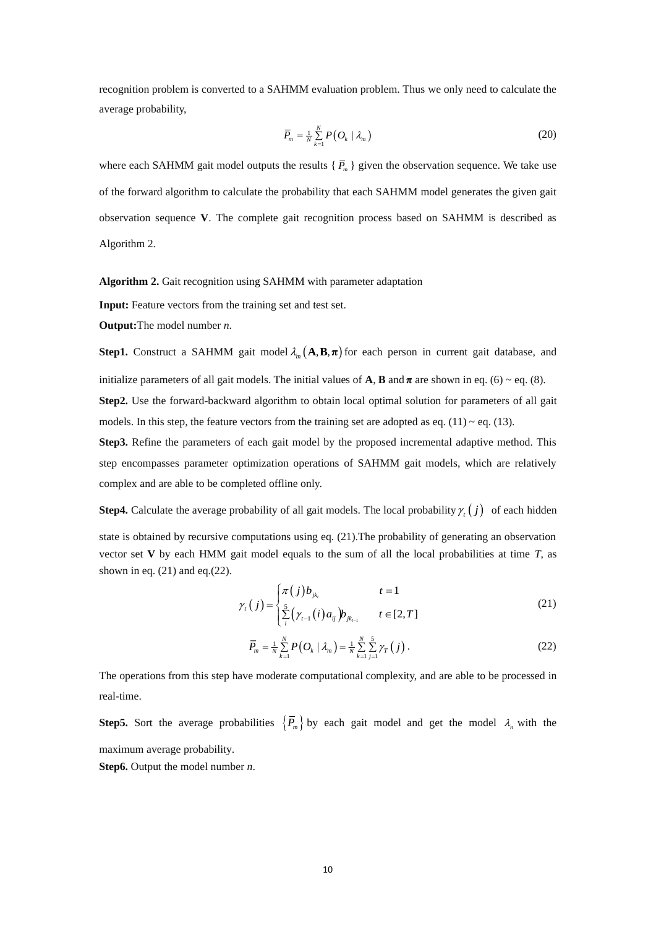recognition problem is converted to a SAHMM evaluation problem. Thus we only need to calculate the average probability,

$$
\overline{P}_m = \frac{1}{N} \sum_{k=1}^N P\big(O_k \mid \lambda_m\big) \tag{20}
$$

where each SAHMM gait model outputs the results  $\{\bar{P}_m\}$  given the observation sequence. We take use of the forward algorithm to calculate the probability that each SAHMM model generates the given gait observation sequence **V**. The complete gait recognition process based on SAHMM is described as Algorithm 2.

**Algorithm 2.** Gait recognition using SAHMM with parameter adaptation

**Input:** Feature vectors from the training set and test set.

**Output:**The model number *n*.

**Step1.** Construct a SAHMM gait model  $\lambda_m(\mathbf{A}, \mathbf{B}, \pi)$  for each person in current gait database, and initialize parameters of all gait models. The initial values of  $\bf{A}$ ,  $\bf{B}$  and  $\bf{\pi}$  are shown in eq. (6)  $\sim$  eq. (8). **Step2.** Use the forward-backward algorithm to obtain local optimal solution for parameters of all gait models. In this step, the feature vectors from the training set are adopted as eq.  $(11) \sim$  eq.  $(13)$ .

**Step3.** Refine the parameters of each gait model by the proposed incremental adaptive method. This step encompasses parameter optimization operations of SAHMM gait models, which are relatively complex and are able to be completed offline only.

**Step4.** Calculate the average probability of all gait models. The local probability  $\gamma_t(j)$  of each hidden state is obtained by recursive computations using eq. (21).The probability of generating an observation vector set **V** by each HMM gait model equals to the sum of all the local probabilities at time  $T$ , as shown in eq.  $(21)$  and eq. $(22)$ .

$$
\gamma_{t}(j) = \begin{cases} \pi(j)b_{jk_{t}} & t = 1\\ \sum_{i}^{5} (\gamma_{t-1}(i)a_{ij})b_{jk_{t-1}} & t \in [2, T] \end{cases}
$$
\n(21)

$$
\overline{P}_m = \frac{1}{N} \sum_{k=1}^N P\big(Q_k \mid \lambda_m\big) = \frac{1}{N} \sum_{k=1}^N \sum_{j=1}^5 \gamma_T\big(j\big) \,. \tag{22}
$$

The operations from this step have moderate computational complexity, and are able to be processed in real-time.

**Step5.** Sort the average probabilities  $\left\{\overline{P}_m\right\}$  by each gait model and get the model  $\lambda_n$  with the maximum average probability.

**Step6.** Output the model number *n*.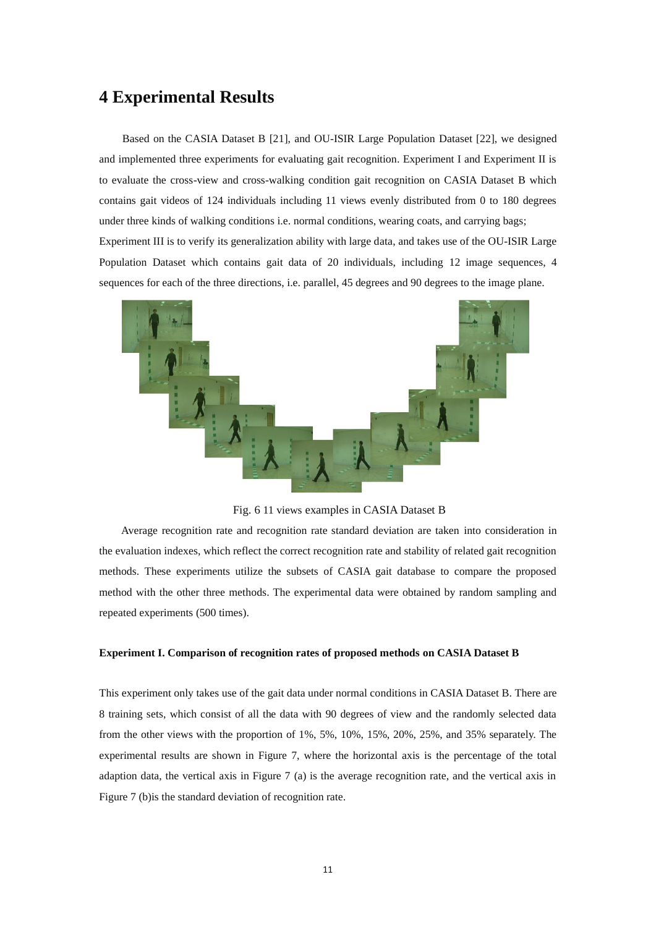# **4 Experimental Results**

Based on the CASIA Dataset B [21], and OU-ISIR Large Population Dataset [22], we designed and implemented three experiments for evaluating gait recognition. Experiment I and Experiment II is to evaluate the cross-view and cross-walking condition gait recognition on CASIA Dataset B which contains gait videos of 124 individuals including 11 views evenly distributed from 0 to 180 degrees under three kinds of walking conditions i.e. normal conditions, wearing coats, and carrying bags; Experiment III is to verify its generalization ability with large data, and takes use of the OU-ISIR Large Population Dataset which contains gait data of 20 individuals, including 12 image sequences, 4 sequences for each of the three directions, i.e. parallel, 45 degrees and 90 degrees to the image plane.



Fig. 6 11 views examples in CASIA Dataset B

Average recognition rate and recognition rate standard deviation are taken into consideration in the evaluation indexes, which reflect the correct recognition rate and stability of related gait recognition methods. These experiments utilize the subsets of CASIA gait database to compare the proposed method with the other three methods. The experimental data were obtained by random sampling and repeated experiments (500 times).

#### **Experiment I. Comparison of recognition rates of proposed methods on CASIA Dataset B**

This experiment only takes use of the gait data under normal conditions in CASIA Dataset B. There are 8 training sets, which consist of all the data with 90 degrees of view and the randomly selected data from the other views with the proportion of 1%, 5%, 10%, 15%, 20%, 25%, and 35% separately. The experimental results are shown in Figure 7, where the horizontal axis is the percentage of the total adaption data, the vertical axis in Figure 7 (a) is the average recognition rate, and the vertical axis in Figure 7 (b)is the standard deviation of recognition rate.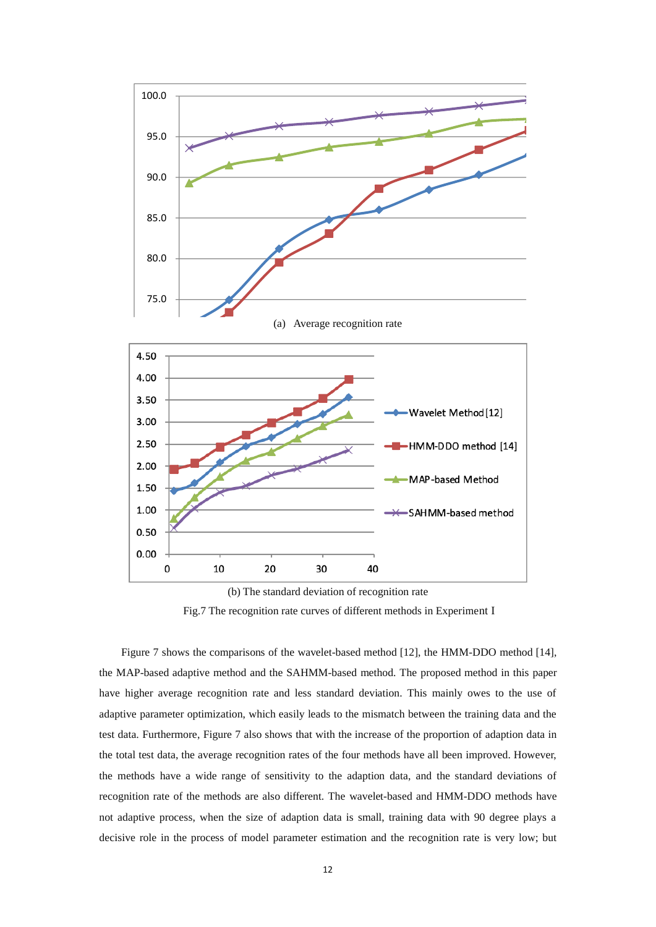

Fig.7 The recognition rate curves of different methods in Experiment I

Figure 7 shows the comparisons of the wavelet-based method [12], the HMM-DDO method [14], the MAP-based adaptive method and the SAHMM-based method. The proposed method in this paper have higher average recognition rate and less standard deviation. This mainly owes to the use of adaptive parameter optimization, which easily leads to the mismatch between the training data and the test data. Furthermore, Figure 7 also shows that with the increase of the proportion of adaption data in the total test data, the average recognition rates of the four methods have all been improved. However, the methods have a wide range of sensitivity to the adaption data, and the standard deviations of recognition rate of the methods are also different. The wavelet-based and HMM-DDO methods have not adaptive process, when the size of adaption data is small, training data with 90 degree plays a decisive role in the process of model parameter estimation and the recognition rate is very low; but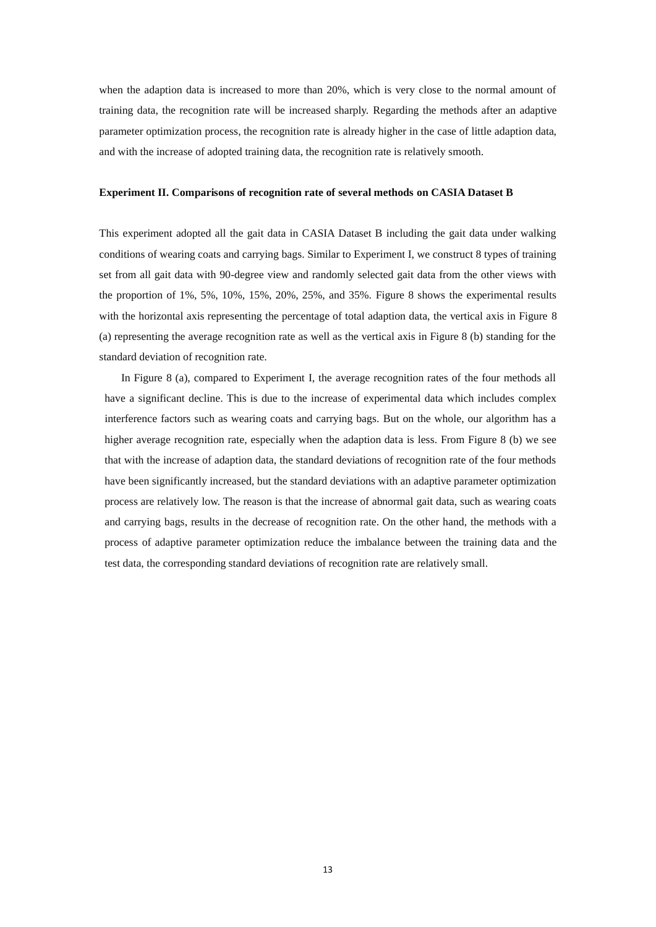when the adaption data is increased to more than 20%, which is very close to the normal amount of training data, the recognition rate will be increased sharply. Regarding the methods after an adaptive parameter optimization process, the recognition rate is already higher in the case of little adaption data, and with the increase of adopted training data, the recognition rate is relatively smooth.

#### **Experiment II. Comparisons of recognition rate of several methods on CASIA Dataset B**

This experiment adopted all the gait data in CASIA Dataset B including the gait data under walking conditions of wearing coats and carrying bags. Similar to Experiment I, we construct 8 types of training set from all gait data with 90-degree view and randomly selected gait data from the other views with the proportion of 1%, 5%, 10%, 15%, 20%, 25%, and 35%. Figure 8 shows the experimental results with the horizontal axis representing the percentage of total adaption data, the vertical axis in Figure 8 (a) representing the average recognition rate as well as the vertical axis in Figure 8 (b) standing for the standard deviation of recognition rate.

In Figure 8 (a), compared to Experiment I, the average recognition rates of the four methods all have a significant decline. This is due to the increase of experimental data which includes complex interference factors such as wearing coats and carrying bags. But on the whole, our algorithm has a higher average recognition rate, especially when the adaption data is less. From Figure 8 (b) we see that with the increase of adaption data, the standard deviations of recognition rate of the four methods have been significantly increased, but the standard deviations with an adaptive parameter optimization process are relatively low. The reason is that the increase of abnormal gait data, such as wearing coats and carrying bags, results in the decrease of recognition rate. On the other hand, the methods with a process of adaptive parameter optimization reduce the imbalance between the training data and the test data, the corresponding standard deviations of recognition rate are relatively small.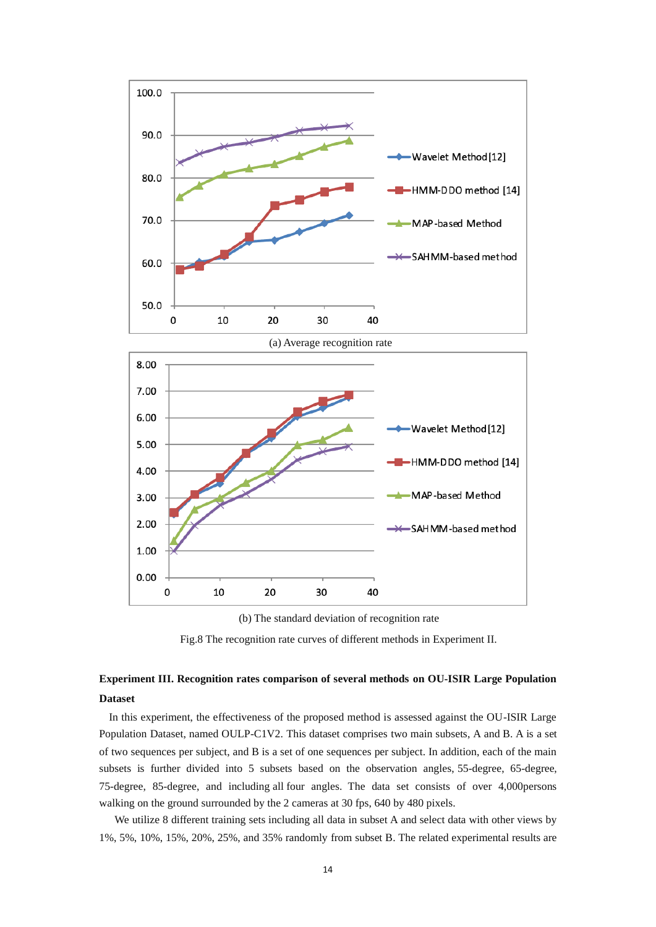

(a) Average recognition rate 8.00 7.00 6.00 Wavelet Method [12] 5.00 HMM-DDO method [14] 4.00 MAP-based Method 3.00 2.00 SAHMM-based method 1.00  $0.00$ 0 10 20 30 40



Fig.8 The recognition rate curves of different methods in Experiment II.

### **Experiment III. Recognition rates comparison of several methods on OU-ISIR Large Population Dataset**

In this experiment, the effectiveness of the proposed method is assessed against the OU-ISIR Large Population Dataset, named OULP-C1V2. This dataset comprises two main subsets, A and B. A is a set of two sequences per subject, and B is a set of one sequences per subject. In addition, each of the main subsets is further divided into 5 subsets based on the observation angles, 55-degree, 65-degree, 75-degree, 85-degree, and including all four angles. The data set consists of over 4,000persons walking on the ground surrounded by the 2 cameras at 30 fps, 640 by 480 pixels.

We utilize 8 different training sets including all data in subset A and select data with other views by 1%, 5%, 10%, 15%, 20%, 25%, and 35% randomly from subset B. The related experimental results are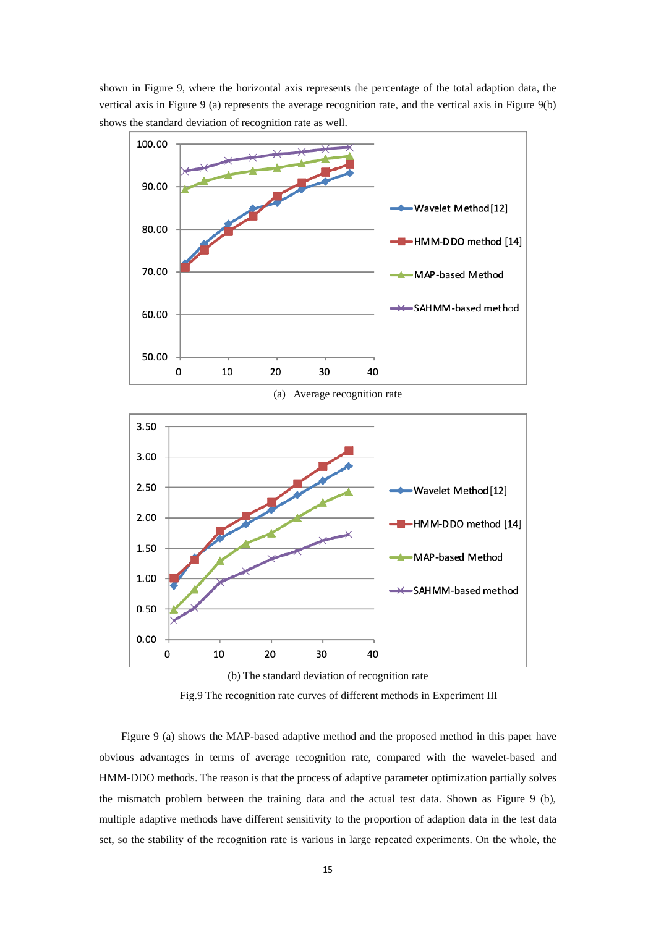



(b) The standard deviation of recognition rate

Fig.9 The recognition rate curves of different methods in Experiment III

Figure 9 (a) shows the MAP-based adaptive method and the proposed method in this paper have obvious advantages in terms of average recognition rate, compared with the wavelet-based and HMM-DDO methods. The reason is that the process of adaptive parameter optimization partially solves the mismatch problem between the training data and the actual test data. Shown as Figure 9 (b), multiple adaptive methods have different sensitivity to the proportion of adaption data in the test data set, so the stability of the recognition rate is various in large repeated experiments. On the whole, the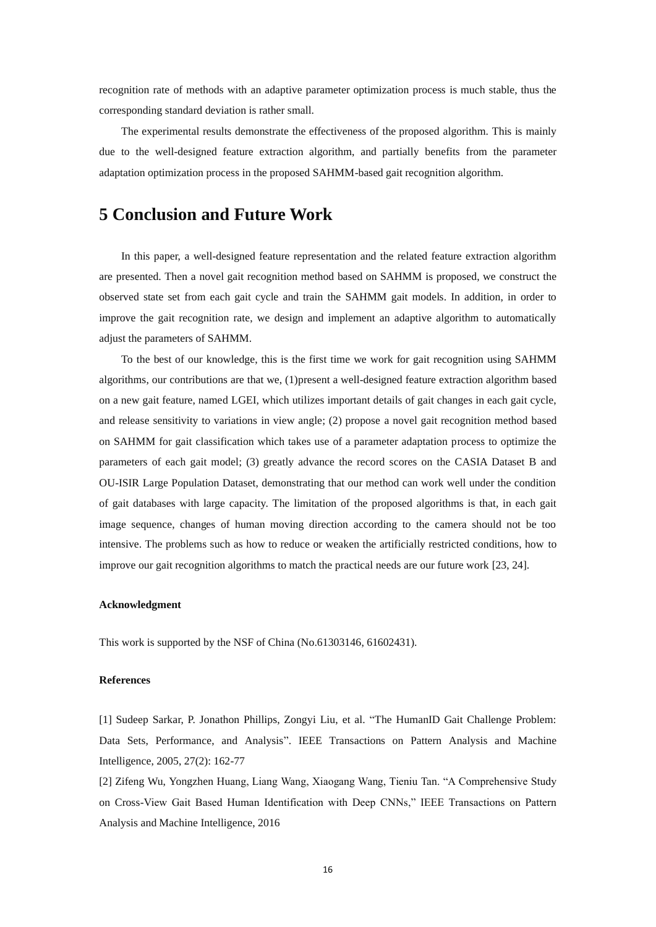recognition rate of methods with an adaptive parameter optimization process is much stable, thus the corresponding standard deviation is rather small.

The experimental results demonstrate the effectiveness of the proposed algorithm. This is mainly due to the well-designed feature extraction algorithm, and partially benefits from the parameter adaptation optimization process in the proposed SAHMM-based gait recognition algorithm.

## **5 Conclusion and Future Work**

In this paper, a well-designed feature representation and the related feature extraction algorithm are presented. Then a novel gait recognition method based on SAHMM is proposed, we construct the observed state set from each gait cycle and train the SAHMM gait models. In addition, in order to improve the gait recognition rate, we design and implement an adaptive algorithm to automatically adjust the parameters of SAHMM.

To the best of our knowledge, this is the first time we work for gait recognition using SAHMM algorithms, our contributions are that we, (1)present a well-designed feature extraction algorithm based on a new gait feature, named LGEI, which utilizes important details of gait changes in each gait cycle, and release sensitivity to variations in view angle; (2) propose a novel gait recognition method based on SAHMM for gait classification which takes use of a parameter adaptation process to optimize the parameters of each gait model; (3) greatly advance the record scores on the CASIA Dataset B and OU-ISIR Large Population Dataset, demonstrating that our method can work well under the condition of gait databases with large capacity. The limitation of the proposed algorithms is that, in each gait image sequence, changes of human moving direction according to the camera should not be too intensive. The problems such as how to reduce or weaken the artificially restricted conditions, how to improve our gait recognition algorithms to match the practical needs are our future work [23, 24].

#### **Acknowledgment**

This work is supported by the NSF of China (No.61303146, 61602431).

#### **References**

[1] Sudeep Sarkar, P. Jonathon Phillips, Zongyi Liu, et al. "The HumanID Gait Challenge Problem: Data Sets, Performance, and Analysis". IEEE Transactions on Pattern Analysis and Machine Intelligence, 2005, 27(2): 162-77

[2] Zifeng Wu, Yongzhen Huang, Liang Wang, Xiaogang Wang, Tieniu Tan. "A Comprehensive Study on Cross-View Gait Based Human Identification with Deep CNNs," IEEE Transactions on Pattern Analysis and Machine Intelligence, 2016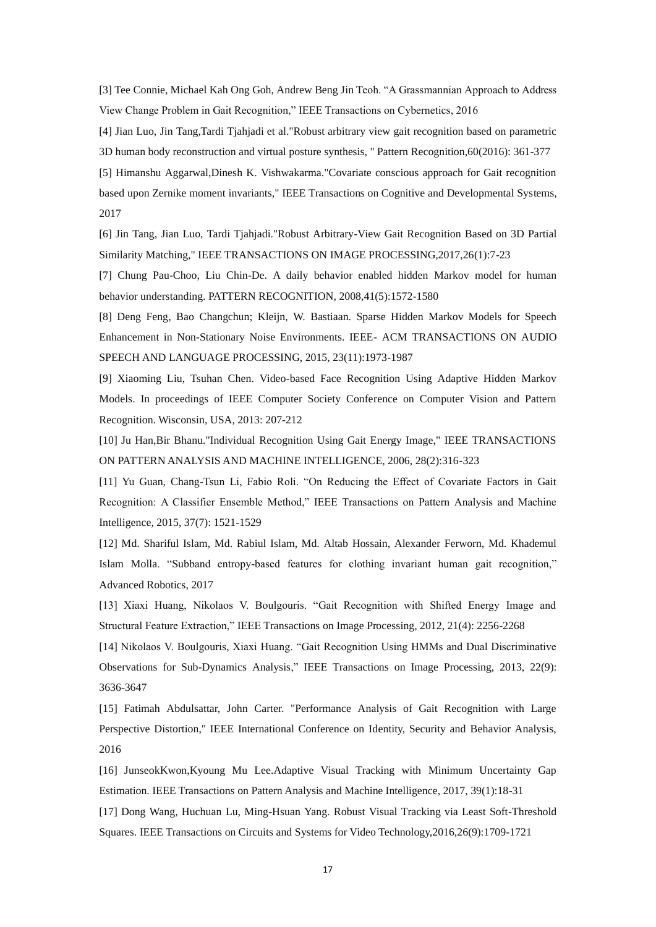[3] Tee Connie, Michael Kah Ong Goh, Andrew Beng Jin Teoh. "A Grassmannian Approach to Address View Change Problem in Gait Recognition," IEEE Transactions on Cybernetics, 2016

[4] Jian Luo, Jin Tang,Tardi Tjahjadi et al."Robust arbitrary view gait recognition based on parametric 3D human body reconstruction and virtual posture synthesis, " Pattern Recognition,60(2016): 361-377

[5] Himanshu Aggarwal,Dinesh K. Vishwakarma."Covariate conscious approach for Gait recognition based upon Zernike moment invariants," IEEE Transactions on Cognitive and Developmental Systems, 2017

[6] Jin Tang, Jian Luo, Tardi Tjahjadi."Robust Arbitrary-View Gait Recognition Based on 3D Partial Similarity Matching," IEEE TRANSACTIONS ON IMAGE PROCESSING,2017,26(1):7-23

[7] Chung Pau-Choo, Liu Chin-De. A daily behavior enabled hidden Markov model for human behavior understanding. PATTERN RECOGNITION, 2008,41(5):1572-1580

[8] Deng Feng, Bao Changchun; Kleijn, W. Bastiaan. Sparse Hidden Markov Models for Speech Enhancement in Non-Stationary Noise Environments. IEEE- ACM TRANSACTIONS ON AUDIO SPEECH AND LANGUAGE PROCESSING, 2015, 23(11):1973-1987

[9] Xiaoming Liu, Tsuhan Chen. Video-based Face Recognition Using Adaptive Hidden Markov Models. In proceedings of IEEE Computer Society Conference on Computer Vision and Pattern Recognition. Wisconsin, USA, 2013: 207-212

[10] Ju Han,Bir Bhanu."Individual Recognition Using Gait Energy Image," IEEE TRANSACTIONS ON PATTERN ANALYSIS AND MACHINE INTELLIGENCE, 2006, 28(2):316-323

[11] Yu Guan, Chang-Tsun Li, Fabio Roli. "On Reducing the Effect of Covariate Factors in Gait Recognition: A Classifier Ensemble Method," IEEE Transactions on Pattern Analysis and Machine Intelligence, 2015, 37(7): 1521-1529

[12] Md. Shariful Islam, Md. Rabiul Islam, Md. Altab Hossain, Alexander Ferworn, Md. Khademul Islam Molla. "Subband entropy-based features for clothing invariant human gait recognition," Advanced Robotics, 2017

[13] Xiaxi Huang, Nikolaos V. Boulgouris. "Gait Recognition with Shifted Energy Image and Structural Feature Extraction," IEEE Transactions on Image Processing, 2012, 21(4): 2256-2268

[14] Nikolaos V. Boulgouris, Xiaxi Huang. "Gait Recognition Using HMMs and Dual Discriminative Observations for Sub-Dynamics Analysis," IEEE Transactions on Image Processing, 2013, 22(9): 3636-3647

[15] Fatimah Abdulsattar, John Carter. "Performance Analysis of Gait Recognition with Large Perspective Distortion," IEEE International Conference on Identity, Security and Behavior Analysis, 2016

[16] JunseokKwon,Kyoung Mu Lee.Adaptive Visual Tracking with Minimum Uncertainty Gap Estimation. IEEE Transactions on Pattern Analysis and Machine Intelligence, 2017, 39(1):18-31 [17] Dong Wang, Huchuan Lu, Ming-Hsuan Yang. Robust Visual Tracking via Least Soft-Threshold Squares. IEEE Transactions on Circuits and Systems for Video Technology,2016,26(9):1709-1721